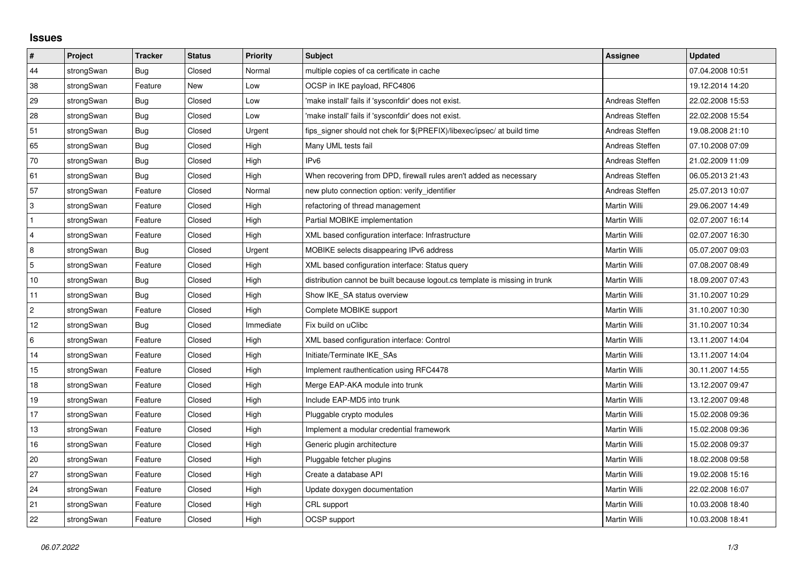## **Issues**

| $\vert$ #      | Project    | <b>Tracker</b> | <b>Status</b> | <b>Priority</b> | <b>Subject</b>                                                              | <b>Assignee</b> | <b>Updated</b>   |
|----------------|------------|----------------|---------------|-----------------|-----------------------------------------------------------------------------|-----------------|------------------|
| 44             | strongSwan | Bug            | Closed        | Normal          | multiple copies of ca certificate in cache                                  |                 | 07.04.2008 10:51 |
| 38             | strongSwan | Feature        | New           | Low             | OCSP in IKE payload, RFC4806                                                |                 | 19.12.2014 14:20 |
| 29             | strongSwan | <b>Bug</b>     | Closed        | Low             | 'make install' fails if 'sysconfdir' does not exist.                        | Andreas Steffen | 22.02.2008 15:53 |
| 28             | strongSwan | Bug            | Closed        | Low             | 'make install' fails if 'sysconfdir' does not exist.                        | Andreas Steffen | 22.02.2008 15:54 |
| 51             | strongSwan | Bug            | Closed        | Urgent          | fips_signer should not chek for \$(PREFIX)/libexec/ipsec/ at build time     | Andreas Steffen | 19.08.2008 21:10 |
| 65             | strongSwan | <b>Bug</b>     | Closed        | High            | Many UML tests fail                                                         | Andreas Steffen | 07.10.2008 07:09 |
| 70             | strongSwan | Bug            | Closed        | High            | IPv <sub>6</sub>                                                            | Andreas Steffen | 21.02.2009 11:09 |
| 61             | strongSwan | Bug            | Closed        | High            | When recovering from DPD, firewall rules aren't added as necessary          | Andreas Steffen | 06.05.2013 21:43 |
| 57             | strongSwan | Feature        | Closed        | Normal          | new pluto connection option: verify identifier                              | Andreas Steffen | 25.07.2013 10:07 |
| 3              | strongSwan | Feature        | Closed        | High            | refactoring of thread management                                            | Martin Willi    | 29.06.2007 14:49 |
| $\mathbf{1}$   | strongSwan | Feature        | Closed        | High            | Partial MOBIKE implementation                                               | Martin Willi    | 02.07.2007 16:14 |
| 4              | strongSwan | Feature        | Closed        | High            | XML based configuration interface: Infrastructure                           | Martin Willi    | 02.07.2007 16:30 |
| 8              | strongSwan | Bug            | Closed        | Urgent          | MOBIKE selects disappearing IPv6 address                                    | Martin Willi    | 05.07.2007 09:03 |
| 5              | strongSwan | Feature        | Closed        | High            | XML based configuration interface: Status query                             | Martin Willi    | 07.08.2007 08:49 |
| $10$           | strongSwan | Bug            | Closed        | High            | distribution cannot be built because logout.cs template is missing in trunk | Martin Willi    | 18.09.2007 07:43 |
| 11             | strongSwan | Bug            | Closed        | High            | Show IKE_SA status overview                                                 | Martin Willi    | 31.10.2007 10:29 |
| $\overline{2}$ | strongSwan | Feature        | Closed        | High            | Complete MOBIKE support                                                     | Martin Willi    | 31.10.2007 10:30 |
| 12             | strongSwan | Bug            | Closed        | Immediate       | Fix build on uClibc                                                         | Martin Willi    | 31.10.2007 10:34 |
| 6              | strongSwan | Feature        | Closed        | High            | XML based configuration interface: Control                                  | Martin Willi    | 13.11.2007 14:04 |
| 14             | strongSwan | Feature        | Closed        | High            | Initiate/Terminate IKE_SAs                                                  | Martin Willi    | 13.11.2007 14:04 |
| 15             | strongSwan | Feature        | Closed        | High            | Implement rauthentication using RFC4478                                     | Martin Willi    | 30.11.2007 14:55 |
| 18             | strongSwan | Feature        | Closed        | High            | Merge EAP-AKA module into trunk                                             | Martin Willi    | 13.12.2007 09:47 |
| 19             | strongSwan | Feature        | Closed        | High            | Include EAP-MD5 into trunk                                                  | Martin Willi    | 13.12.2007 09:48 |
| 17             | strongSwan | Feature        | Closed        | High            | Pluggable crypto modules                                                    | Martin Willi    | 15.02.2008 09:36 |
| $13$           | strongSwan | Feature        | Closed        | High            | Implement a modular credential framework                                    | Martin Willi    | 15.02.2008 09:36 |
| 16             | strongSwan | Feature        | Closed        | High            | Generic plugin architecture                                                 | Martin Willi    | 15.02.2008 09:37 |
| 20             | strongSwan | Feature        | Closed        | High            | Pluggable fetcher plugins                                                   | Martin Willi    | 18.02.2008 09:58 |
| 27             | strongSwan | Feature        | Closed        | High            | Create a database API                                                       | Martin Willi    | 19.02.2008 15:16 |
| 24             | strongSwan | Feature        | Closed        | High            | Update doxygen documentation                                                | Martin Willi    | 22.02.2008 16:07 |
| 21             | strongSwan | Feature        | Closed        | High            | CRL support                                                                 | Martin Willi    | 10.03.2008 18:40 |
| 22             | strongSwan | Feature        | Closed        | High            | OCSP support                                                                | Martin Willi    | 10.03.2008 18:41 |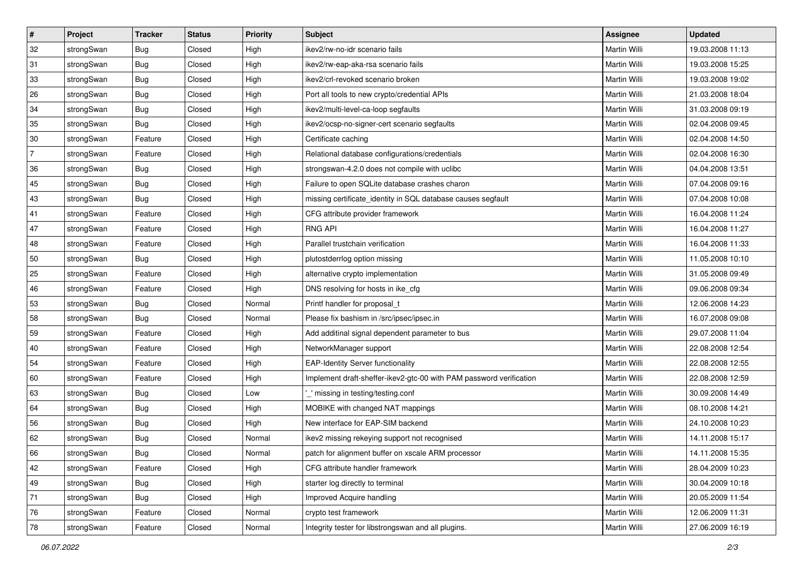| $\vert$ #      | Project    | <b>Tracker</b> | <b>Status</b> | <b>Priority</b> | <b>Subject</b>                                                      | Assignee            | <b>Updated</b>   |
|----------------|------------|----------------|---------------|-----------------|---------------------------------------------------------------------|---------------------|------------------|
| 32             | strongSwan | Bug            | Closed        | High            | ikev2/rw-no-idr scenario fails                                      | Martin Willi        | 19.03.2008 11:13 |
| 31             | strongSwan | Bug            | Closed        | High            | ikev2/rw-eap-aka-rsa scenario fails                                 | <b>Martin Willi</b> | 19.03.2008 15:25 |
| 33             | strongSwan | <b>Bug</b>     | Closed        | High            | ikev2/crl-revoked scenario broken                                   | Martin Willi        | 19.03.2008 19:02 |
| 26             | strongSwan | <b>Bug</b>     | Closed        | High            | Port all tools to new crypto/credential APIs                        | Martin Willi        | 21.03.2008 18:04 |
| 34             | strongSwan | Bug            | Closed        | High            | ikev2/multi-level-ca-loop segfaults                                 | Martin Willi        | 31.03.2008 09:19 |
| 35             | strongSwan | <b>Bug</b>     | Closed        | High            | ikev2/ocsp-no-signer-cert scenario segfaults                        | <b>Martin Willi</b> | 02.04.2008 09:45 |
| 30             | strongSwan | Feature        | Closed        | High            | Certificate caching                                                 | Martin Willi        | 02.04.2008 14:50 |
| $\overline{7}$ | strongSwan | Feature        | Closed        | High            | Relational database configurations/credentials                      | Martin Willi        | 02.04.2008 16:30 |
| 36             | strongSwan | Bug            | Closed        | High            | strongswan-4.2.0 does not compile with uclibc                       | Martin Willi        | 04.04.2008 13:51 |
| 45             | strongSwan | Bug            | Closed        | High            | Failure to open SQLite database crashes charon                      | Martin Willi        | 07.04.2008 09:16 |
| 43             | strongSwan | Bug            | Closed        | High            | missing certificate_identity in SQL database causes segfault        | Martin Willi        | 07.04.2008 10:08 |
| 41             | strongSwan | Feature        | Closed        | High            | CFG attribute provider framework                                    | Martin Willi        | 16.04.2008 11:24 |
| 47             | strongSwan | Feature        | Closed        | High            | <b>RNG API</b>                                                      | <b>Martin Willi</b> | 16.04.2008 11:27 |
| 48             | strongSwan | Feature        | Closed        | High            | Parallel trustchain verification                                    | Martin Willi        | 16.04.2008 11:33 |
| 50             | strongSwan | Bug            | Closed        | High            | plutostderrlog option missing                                       | <b>Martin Willi</b> | 11.05.2008 10:10 |
| 25             | strongSwan | Feature        | Closed        | High            | alternative crypto implementation                                   | Martin Willi        | 31.05.2008 09:49 |
| 46             | strongSwan | Feature        | Closed        | High            | DNS resolving for hosts in ike_cfg                                  | <b>Martin Willi</b> | 09.06.2008 09:34 |
| 53             | strongSwan | Bug            | Closed        | Normal          | Printf handler for proposal_t                                       | <b>Martin Willi</b> | 12.06.2008 14:23 |
| 58             | strongSwan | <b>Bug</b>     | Closed        | Normal          | Please fix bashism in /src/ipsec/ipsec.in                           | Martin Willi        | 16.07.2008 09:08 |
| 59             | strongSwan | Feature        | Closed        | High            | Add additinal signal dependent parameter to bus                     | Martin Willi        | 29.07.2008 11:04 |
| 40             | strongSwan | Feature        | Closed        | High            | NetworkManager support                                              | Martin Willi        | 22.08.2008 12:54 |
| 54             | strongSwan | Feature        | Closed        | High            | <b>EAP-Identity Server functionality</b>                            | Martin Willi        | 22.08.2008 12:55 |
| 60             | strongSwan | Feature        | Closed        | High            | Implement draft-sheffer-ikev2-gtc-00 with PAM password verification | Martin Willi        | 22.08.2008 12:59 |
| 63             | strongSwan | <b>Bug</b>     | Closed        | Low             | missing in testing/testing.conf                                     | Martin Willi        | 30.09.2008 14:49 |
| 64             | strongSwan | <b>Bug</b>     | Closed        | High            | MOBIKE with changed NAT mappings                                    | Martin Willi        | 08.10.2008 14:21 |
| 56             | strongSwan | <b>Bug</b>     | Closed        | High            | New interface for EAP-SIM backend                                   | Martin Willi        | 24.10.2008 10:23 |
| 62             | strongSwan | Bug            | Closed        | Normal          | ikev2 missing rekeying support not recognised                       | Martin Willi        | 14.11.2008 15:17 |
| 66             | strongSwan | Bug            | Closed        | Normal          | patch for alignment buffer on xscale ARM processor                  | Martin Willi        | 14.11.2008 15:35 |
| 42             | strongSwan | Feature        | Closed        | High            | CFG attribute handler framework                                     | Martin Willi        | 28.04.2009 10:23 |
| 49             | strongSwan | Bug            | Closed        | High            | starter log directly to terminal                                    | Martin Willi        | 30.04.2009 10:18 |
| 71             | strongSwan | <b>Bug</b>     | Closed        | High            | Improved Acquire handling                                           | Martin Willi        | 20.05.2009 11:54 |
| 76             | strongSwan | Feature        | Closed        | Normal          | crypto test framework                                               | Martin Willi        | 12.06.2009 11:31 |
| 78             | strongSwan | Feature        | Closed        | Normal          | Integrity tester for libstrongswan and all plugins.                 | Martin Willi        | 27.06.2009 16:19 |